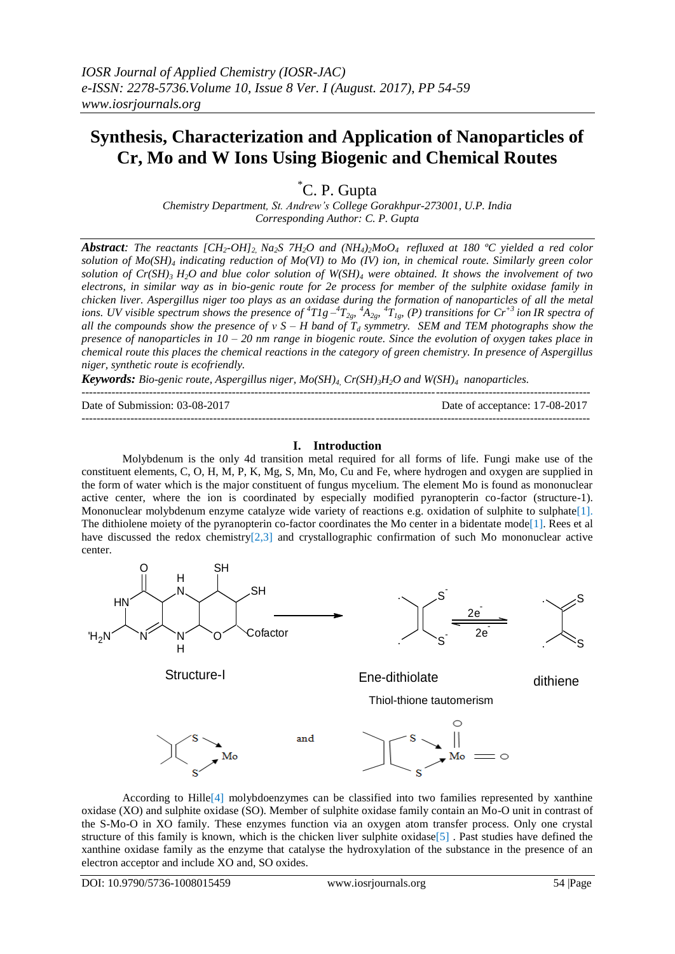# **Synthesis, Characterization and Application of Nanoparticles of Cr, Mo and W Ions Using Biogenic and Chemical Routes**

\*C. P. Gupta

*Chemistry Department, St. Andrew's College Gorakhpur-273001, U.P. India Corresponding Author: C. P. Gupta*

**Abstract:** The reactants [CH<sub>2</sub>-OH]<sub>2</sub> Na<sub>2</sub>S 7H<sub>2</sub>O and (NH<sub>4</sub>)<sub>2</sub>M<sub>0</sub>O<sub>4</sub> refluxed at 180 °C yielded a red color *solution of Mo(SH)<sup>4</sup> indicating reduction of Mo(VI) to Mo (IV) ion, in chemical route. Similarly green color solution of Cr(SH)*<sup>3</sup> $H_2O$  *and blue color solution of W(SH)*<sup>4</sup> *were obtained. It shows the involvement of two electrons, in similar way as in bio-genic route for 2e process for member of the sulphite oxidase family in chicken liver. Aspergillus niger too plays as an oxidase during the formation of nanoparticles of all the metal* ions. UV visible spectrum shows the presence of  ${}^4T1g-{}^4T_{2g}$ ,  ${}^4A_{2g}$ ,  ${}^4T_{1g}$ , (P) transitions for  $Cr^{+3}$  ion IR spectra of *all the compounds show the presence of ν S – H band of T<sup>d</sup> symmetry. SEM and TEM photographs show the presence of nanoparticles in 10 – 20 nm range in biogenic route. Since the evolution of oxygen takes place in chemical route this places the chemical reactions in the category of green chemistry. In presence of Aspergillus niger, synthetic route is ecofriendly.*

*Keywords: Bio-genic route, Aspergillus niger, Mo(SH)4, Cr(SH)3H2O and W(SH)<sup>4</sup> nanoparticles.*

 $-1\leq i\leq n-1\leq n-1\leq n-1\leq n-1\leq n-1\leq n-1\leq n-1\leq n-1\leq n-1\leq n-1\leq n-1\leq n-1\leq n-1\leq n-1\leq n-1\leq n-1\leq n-1\leq n-1\leq n-1\leq n-1\leq n-1\leq n-1\leq n-1\leq n-1\leq n-1\leq n-1\leq n-1\leq n-1\leq n-1\leq n-1\leq n-1\leq n-1\leq n-1\leq n-1\leq n-1\leq n$ 

Date of Submission: 03-08-2017 Date of acceptance: 17-08-2017

## **I. Introduction**

---------------------------------------------------------------------------------------------------------------------------------------

Molybdenum is the only 4d transition metal required for all forms of life. Fungi make use of the constituent elements, C, O, H, M, P, K, Mg, S, Mn, Mo, Cu and Fe, where hydrogen and oxygen are supplied in the form of water which is the major constituent of fungus mycelium. The element Mo is found as mononuclear active center, where the ion is coordinated by especially modified pyranopterin co-factor (structure-1). Mononuclear molybdenum enzyme catalyze wide variety of reactions e.g. oxidation of sulphite to sulphate[1]. The dithiolene moiety of the pyranopterin co-factor coordinates the Mo center in a bidentate mode<sup>[1]</sup>. Rees et al have discussed the redox chemistry[2,3] and crystallographic confirmation of such Mo mononuclear active center.



According to Hille[4] molybdoenzymes can be classified into two families represented by xanthine oxidase (XO) and sulphite oxidase (SO). Member of sulphite oxidase family contain an Mo-O unit in contrast of the S-Mo-O in XO family. These enzymes function via an oxygen atom transfer process. Only one crystal structure of this family is known, which is the chicken liver sulphite oxidase[5] . Past studies have defined the xanthine oxidase family as the enzyme that catalyse the hydroxylation of the substance in the presence of an electron acceptor and include XO and, SO oxides.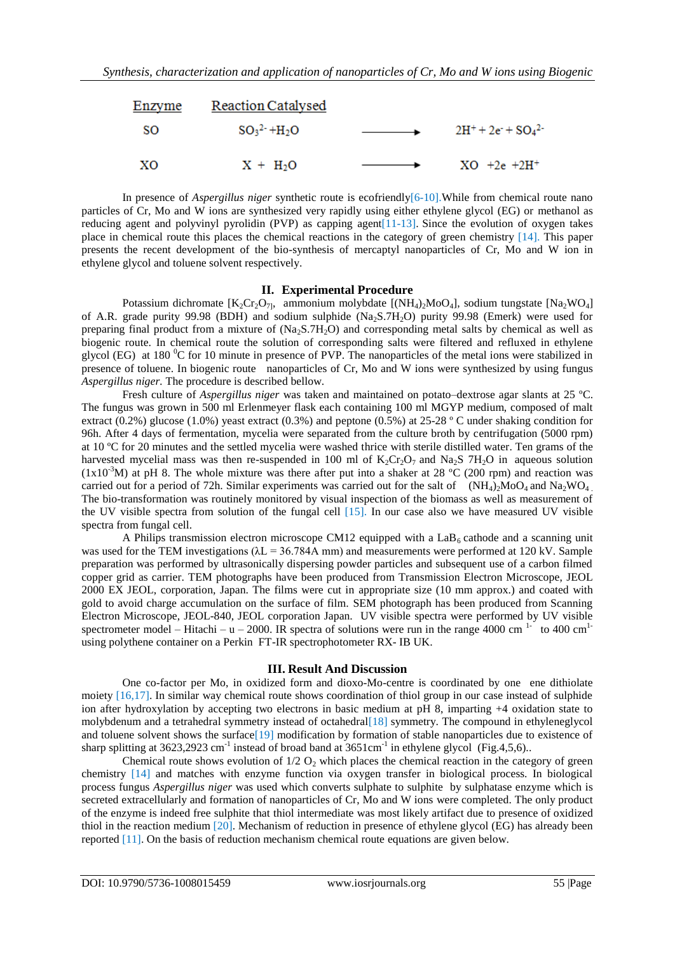

In presence of *Aspergillus niger* synthetic route is ecofriendly[6-10].While from chemical route nano particles of Cr, Mo and W ions are synthesized very rapidly using either ethylene glycol (EG) or methanol as reducing agent and polyvinyl pyrolidin (PVP) as capping agent[11-13]. Since the evolution of oxygen takes place in chemical route this places the chemical reactions in the category of green chemistry [14]. This paper presents the recent development of the bio-synthesis of mercaptyl nanoparticles of Cr, Mo and W ion in ethylene glycol and toluene solvent respectively.

#### **II. Experimental Procedure**

Potassium dichromate  $[K_2Cr_2O_{7}]$ , ammonium molybdate  $[(NH_4)_2MoO_4]$ , sodium tungstate  $[Na_2WO_4]$ of A.R. grade purity 99.98 (BDH) and sodium sulphide  $(Na<sub>2</sub>S.7H<sub>2</sub>O)$  purity 99.98 (Emerk) were used for preparing final product from a mixture of  $(Na_2S.7H_2O)$  and corresponding metal salts by chemical as well as biogenic route. In chemical route the solution of corresponding salts were filtered and refluxed in ethylene glycol (EG) at 180  $^{\circ}$ C for 10 minute in presence of PVP. The nanoparticles of the metal ions were stabilized in presence of toluene. In biogenic route nanoparticles of Cr, Mo and W ions were synthesized by using fungus *Aspergillus niger.* The procedure is described bellow.

Fresh culture of *Aspergillus niger* was taken and maintained on potato–dextrose agar slants at 25 ºC. The fungus was grown in 500 ml Erlenmeyer flask each containing 100 ml MGYP medium, composed of malt extract (0.2%) glucose (1.0%) yeast extract (0.3%) and peptone (0.5%) at 25-28 º C under shaking condition for 96h. After 4 days of fermentation, mycelia were separated from the culture broth by centrifugation (5000 rpm) at 10 ºC for 20 minutes and the settled mycelia were washed thrice with sterile distilled water. Ten grams of the harvested mycelial mass was then re-suspended in 100 ml of  $K_2Cr_2O_7$  and Na<sub>2</sub>S 7H<sub>2</sub>O in aqueous solution  $(1x10^{-3}M)$  at pH 8. The whole mixture was there after put into a shaker at 28 °C (200 rpm) and reaction was carried out for a period of 72h. Similar experiments was carried out for the salt of  $(NH_4)$ <sub>2</sub>MoO<sub>4</sub> and Na<sub>2</sub>WO<sub>4</sub>. The bio-transformation was routinely monitored by visual inspection of the biomass as well as measurement of the UV visible spectra from solution of the fungal cell  $[15]$ . In our case also we have measured UV visible spectra from fungal cell.

A Philips transmission electron microscope CM12 equipped with a  $LaB<sub>6</sub>$  cathode and a scanning unit was used for the TEM investigations ( $\lambda L = 36.784A$  mm) and measurements were performed at 120 kV. Sample preparation was performed by ultrasonically dispersing powder particles and subsequent use of a carbon filmed copper grid as carrier. TEM photographs have been produced from Transmission Electron Microscope, JEOL 2000 EX JEOL, corporation, Japan. The films were cut in appropriate size (10 mm approx.) and coated with gold to avoid charge accumulation on the surface of film. SEM photograph has been produced from Scanning Electron Microscope, JEOL-840, JEOL corporation Japan. UV visible spectra were performed by UV visible spectrometer model – Hitachi – u – 2000. IR spectra of solutions were run in the range 4000 cm <sup>1-</sup> to 400 cm<sup>1-</sup> using polythene container on a Perkin FT-IR spectrophotometer RX- IB UK.

#### **III. Result And Discussion**

One co-factor per Mo, in oxidized form and dioxo-Mo-centre is coordinated by one ene dithiolate moiety [16,17]. In similar way chemical route shows coordination of thiol group in our case instead of sulphide ion after hydroxylation by accepting two electrons in basic medium at pH 8, imparting +4 oxidation state to molybdenum and a tetrahedral symmetry instead of octahedral[18] symmetry. The compound in ethyleneglycol and toluene solvent shows the surface[19] modification by formation of stable nanoparticles due to existence of sharp splitting at  $3623,2923$  cm<sup>-1</sup> instead of broad band at  $3651 \text{cm}^{-1}$  in ethylene glycol (Fig.4,5,6)..

Chemical route shows evolution of  $1/2$  O<sub>2</sub> which places the chemical reaction in the category of green chemistry [14] and matches with enzyme function via oxygen transfer in biological process. In biological process fungus *Aspergillus niger* was used which converts sulphate to sulphite by sulphatase enzyme which is secreted extracellularly and formation of nanoparticles of Cr, Mo and W ions were completed. The only product of the enzyme is indeed free sulphite that thiol intermediate was most likely artifact due to presence of oxidized thiol in the reaction medium [20]. Mechanism of reduction in presence of ethylene glycol (EG) has already been reported [11]. On the basis of reduction mechanism chemical route equations are given below.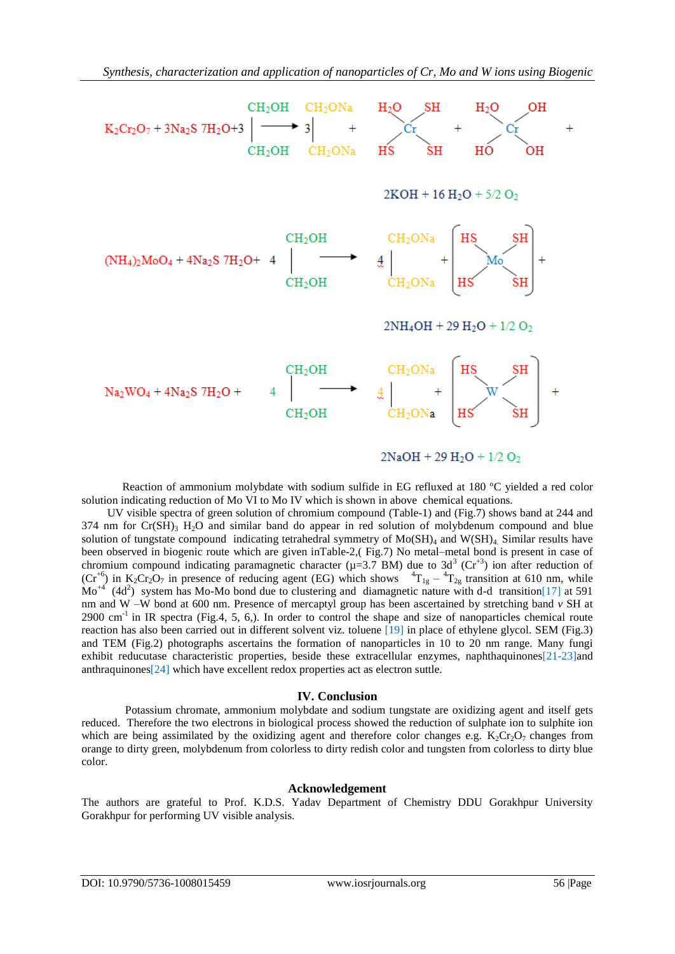

Reaction of ammonium molybdate with sodium sulfide in EG refluxed at 180 ºC yielded a red color solution indicating reduction of Mo VI to Mo IV which is shown in above chemical equations.

 UV visible spectra of green solution of chromium compound (Table-1) and (Fig.7) shows band at 244 and  $374$  nm for  $Cr(SH)$ <sub>3</sub> H<sub>2</sub>O and similar band do appear in red solution of molybdenum compound and blue solution of tungstate compound indicating tetrahedral symmetry of  $Mo(SH)_4$  and  $W(SH)_4$ . Similar results have been observed in biogenic route which are given inTable-2,( Fig.7) No metal–metal bond is present in case of chromium compound indicating paramagnetic character ( $\mu$ =3.7 BM) due to 3d<sup>3</sup> (Cr<sup>+3</sup>) ion after reduction of  $(Cr^{+6})$  in K<sub>2</sub>Cr<sub>2</sub>O<sub>7</sub> in presence of reducing agent (EG) which shows  ${}^{4}T_{1g} - {}^{4}T_{2g}$  transition at 610 nm, while  $\text{Mo}^{+4}$  $(4d<sup>2</sup>)$  system has Mo-Mo bond due to clustering and diamagnetic nature with d-d transition[17] at 591 nm and W –W bond at 600 nm. Presence of mercaptyl group has been ascertained by stretching band *v* SH at  $2900 \text{ cm}^{-1}$  in IR spectra (Fig.4, 5, 6,). In order to control the shape and size of nanoparticles chemical route reaction has also been carried out in different solvent viz. toluene [19] in place of ethylene glycol. SEM (Fig.3) and TEM (Fig.2) photographs ascertains the formation of nanoparticles in 10 to 20 nm range. Many fungi exhibit reducutase characteristic properties, beside these extracellular enzymes, naphthaquinones[21-23]and anthraquinones[24] which have excellent redox properties act as electron suttle.

#### **IV. Conclusion**

Potassium chromate, ammonium molybdate and sodium tungstate are oxidizing agent and itself gets reduced. Therefore the two electrons in biological process showed the reduction of sulphate ion to sulphite ion which are being assimilated by the oxidizing agent and therefore color changes e.g.  $K_2Cr_2O_7$  changes from orange to dirty green, molybdenum from colorless to dirty redish color and tungsten from colorless to dirty blue color.

## **Acknowledgement**

The authors are grateful to Prof. K.D.S. Yadav Department of Chemistry DDU Gorakhpur University Gorakhpur for performing UV visible analysis.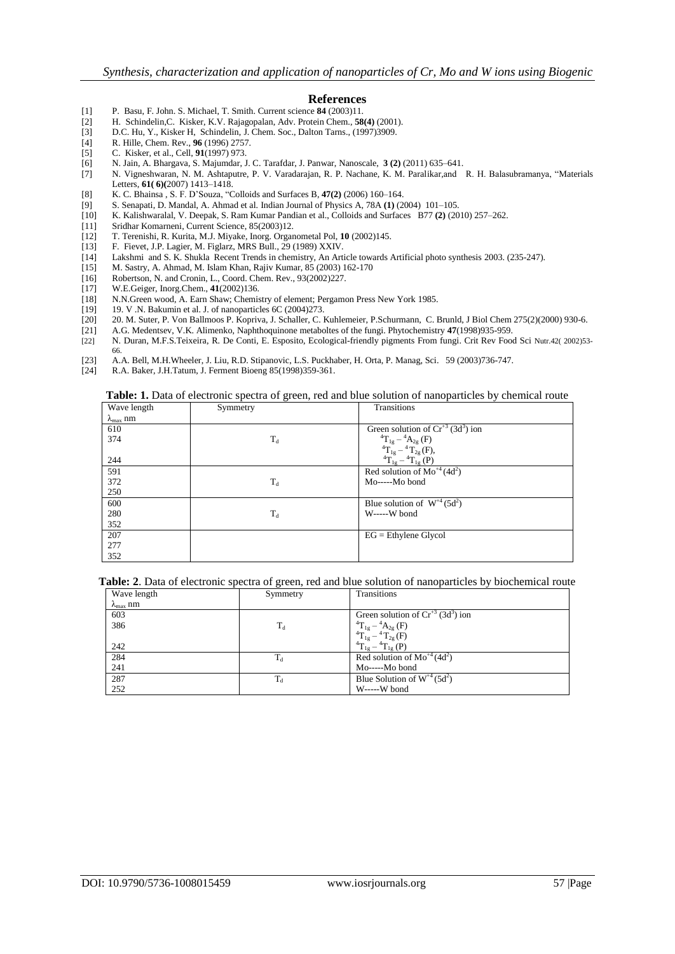#### **References**

- [1] P. Basu, F. John. S. Michael, T. Smith. Current science **84** (2003)11.
- [2] H. Schindelin,C. Kisker, K.V. Rajagopalan, Adv. Protein Chem., **58(4)** (2001).
- D.C. Hu, Y., Kisker H, Schindelin, J. Chem. Soc., Dalton Tarns., (1997)3909.
- [4] R. Hille, Chem. Rev., **96** (1996) 2757.
- [5] C. Kisker, et al., Cell, **91**(1997) 973.
- [6] N. Jain, A. Bhargava, S. Majumdar, J. C. Tarafdar, J. Panwar, Nanoscale, **3 (2)** (2011) 635–641.
- [7] N. Vigneshwaran, N. M. Ashtaputre, P. V. Varadarajan, R. P. Nachane, K. M. Paralikar,and R. H. Balasubramanya, "Materials Letters, **61( 6)(**2007) 1413–1418.
- [8] K. C. Bhainsa , S. F. D'Souza, "Colloids and Surfaces B, **47(2)** (2006) 160–164.
- [9] S. Senapati, D. Mandal, A. Ahmad et al. Indian Journal of Physics A, 78A **(1)** (2004) 101–105.
- [10] K. Kalishwaralal, V. Deepak, S. Ram Kumar Pandian et al., Colloids and Surfaces B77 **(2)** (2010) 257–262.
- [11] Sridhar Komarneni, Current Science, 85(2003)12.
- [12] T. Terenishi, R. Kurita, M.J. Miyake, Inorg. Organometal Pol, **10** (2002)145.
- [13] F. Fievet, J.P. Lagier, M. Figlarz, MRS Bull., 29 (1989) XXIV.
- [14] Lakshmi and S. K. Shukla Recent Trends in chemistry, An Article towards Artificial photo synthesis 2003. (235-247).
- [15] M. Sastry, A. Ahmad, M. Islam Khan, Rajiv Kumar, 85 (2003) 162-170
- [16] Robertson, N. and Cronin, L., Coord. Chem. Rev., 93(2002)227.
- 
- [17] W.E.Geiger, Inorg.Chem., **41**(2002)136.<br>[18] N.N.Green wood, A. Earn Shaw; Chemis [18] N.N.Green wood, A. Earn Shaw; Chemistry of element; Pergamon Press New York 1985.
- [19] 19. V .N. Bakumin et al. J. of nanoparticles 6C (2004)273.
- [20] 20. M. Suter, P. Von Ballmoos P. Kopriva, J. Schaller, C. Kuhlemeier, P.Schurmann, C. Brunld, J Biol Chem 275(2)(2000) 930-6.<br>[21] A.G. Medentsev. V.K. Alimenko. Naphthoquinone metaboltes of the fungi. Phytochemistry
- [21] A.G. Medentsev, V.K. Alimenko, Naphthoquinone metaboltes of the fungi. Phytochemistry **47**(1998)935-959.
- [22] N. Duran, M.F.S.Teixeira, R. De Conti, E. Esposito, Ecological-friendly pigments From fungi. Crit Rev Food Sci Nutr.42( 2002)53- 66.
- [23] A.A. Bell, M.H.Wheeler, J. Liu, R.D. Stipanovic, L.S. Puckhaber, H. Orta, P. Manag, Sci. 59 (2003)736-747.
- [24] R.A. Baker, J.H.Tatum, J. Ferment Bioeng 85(1998)359-361.

**Table: 1.** Data of electronic spectra of green, red and blue solution of nanoparticles by chemical route

| Wave length               | Symmetry | Transitions                                                                                                              |
|---------------------------|----------|--------------------------------------------------------------------------------------------------------------------------|
| $\lambda_{\text{max}}$ nm |          |                                                                                                                          |
| 610                       |          | Green solution of $Cr^{+3}$ (3d <sup>3</sup> ) ion                                                                       |
| 374                       | $T_d$    |                                                                                                                          |
|                           |          | $\label{eq:4.10} \begin{array}{l} {}^4\!T_{1g} - {}^4\!A_{2g} \; (F) \\ {}^4\!T_{1g} - {}^4\!T_{2g} \, (F), \end{array}$ |
| 244                       |          | ${}^{4}T_{1g} - {}^{4}T_{1g}$ (P)                                                                                        |
| 591                       |          | Red solution of $Mo^{+4}(4d^2)$                                                                                          |
| 372                       | $T_d$    | Mo-----Mo bond                                                                                                           |
| 250                       |          |                                                                                                                          |
| 600                       |          | Blue solution of $W^{+4}$ (5d <sup>2</sup> )                                                                             |
| 280                       | $T_d$    | W-----W bond                                                                                                             |
| 352                       |          |                                                                                                                          |
| 207                       |          | $EG =$ Ethylene Glycol                                                                                                   |
| 277                       |          |                                                                                                                          |
| 352                       |          |                                                                                                                          |

#### **Table: 2**. Data of electronic spectra of green, red and blue solution of nanoparticles by biochemical route

| Wave length               | Symmetry         | Transitions                                        |
|---------------------------|------------------|----------------------------------------------------|
| $\lambda_{\text{max}}$ nm |                  |                                                    |
| 603                       |                  | Green solution of $Cr^{+3}$ (3d <sup>3</sup> ) ion |
| 386                       | $T_d$            | ${}^{4}T_{1g} - {}^{4}A_{2g}$ (F)                  |
|                           |                  | ${}^{4}T_{1g} - {}^{4}T_{2g}$ (F)                  |
| 242                       |                  | ${}^{4}T_{1e} - {}^{4}T_{1e}$ (P)                  |
| 284                       | $\mathrm{T_{d}}$ | Red solution of $Mo^{+4}(4d^2)$                    |
| 241                       |                  | Mo-----Mo bond                                     |
| 287                       | $\rm T_d$        | Blue Solution of $W^{4}$ (5d <sup>2</sup> )        |
| 252                       |                  | W-----W bond                                       |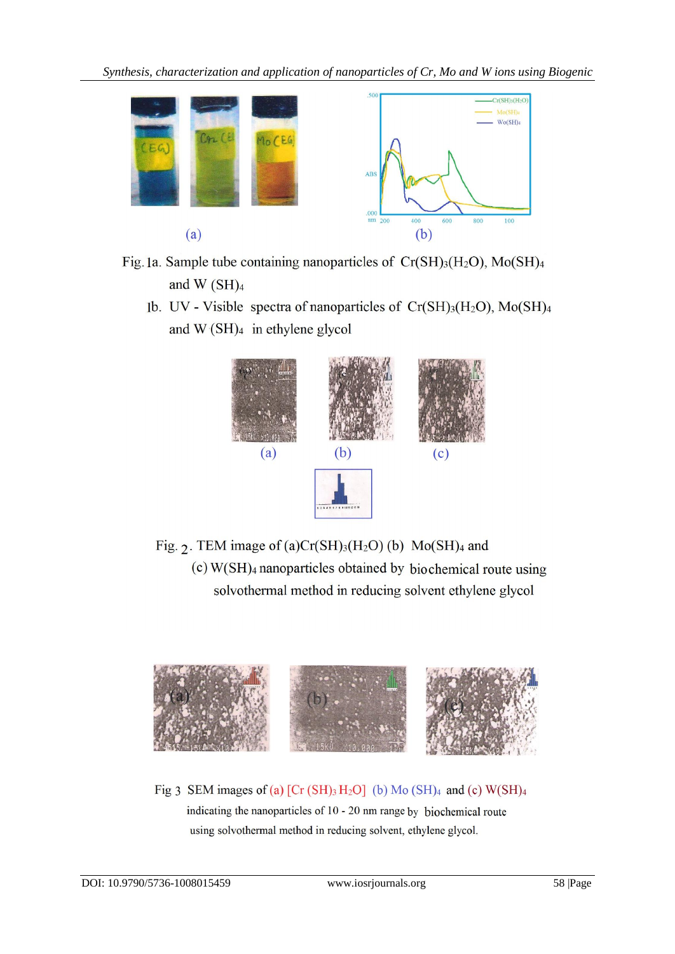*Synthesis, characterization and application of nanoparticles of Cr, Mo and W ions using Biogenic* 



Fig. 1a. Sample tube containing nanoparticles of  $Cr(SH)_{3}(H_{2}O)$ ,  $Mo(SH)_{4}$ and  $W(SH)<sub>4</sub>$ 

1b. UV - Visible spectra of nanoparticles of  $Cr(SH)_{3}(H_{2}O)$ ,  $Mo(SH)_{4}$ and  $W(SH)<sub>4</sub>$  in ethylene glycol



Fig. 2. TEM image of (a)Cr(SH)<sub>3</sub>(H<sub>2</sub>O) (b) Mo(SH)<sub>4</sub> and  $(c)$  W(SH)<sub>4</sub> nanoparticles obtained by biochemical route using solvothermal method in reducing solvent ethylene glycol



Fig 3 SEM images of (a) [Cr (SH)<sub>3</sub> H<sub>2</sub>O] (b) Mo (SH)<sub>4</sub> and (c) W(SH)<sub>4</sub> indicating the nanoparticles of 10 - 20 nm range by biochemical route using solvothermal method in reducing solvent, ethylene glycol.